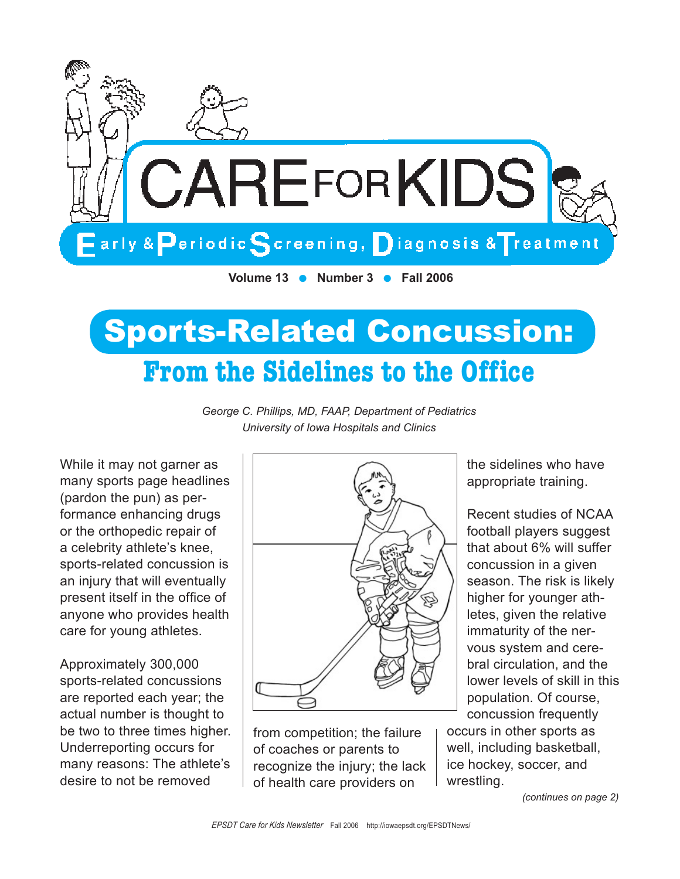

# Sports-Related Concussion: **From the Sidelines to the Office**

*George C. Phillips, MD, FAAP, Department of Pediatrics University of Iowa Hospitals and Clinics*

While it may not garner as many sports page headlines (pardon the pun) as performance enhancing drugs or the orthopedic repair of a celebrity athlete's knee, sports-related concussion is an injury that will eventually present itself in the office of anyone who provides health care for young athletes.

Approximately 300,000 sports-related concussions are reported each year; the actual number is thought to be two to three times higher. Underreporting occurs for many reasons: The athlete's desire to not be removed



from competition; the failure of coaches or parents to recognize the injury; the lack of health care providers on

the sidelines who have appropriate training.

Recent studies of NCAA football players suggest that about 6% will suffer concussion in a given season. The risk is likely higher for younger athletes, given the relative immaturity of the nervous system and cerebral circulation, and the lower levels of skill in this population. Of course, concussion frequently

occurs in other sports as well, including basketball, ice hockey, soccer, and wrestling.

*(continues on page 2)*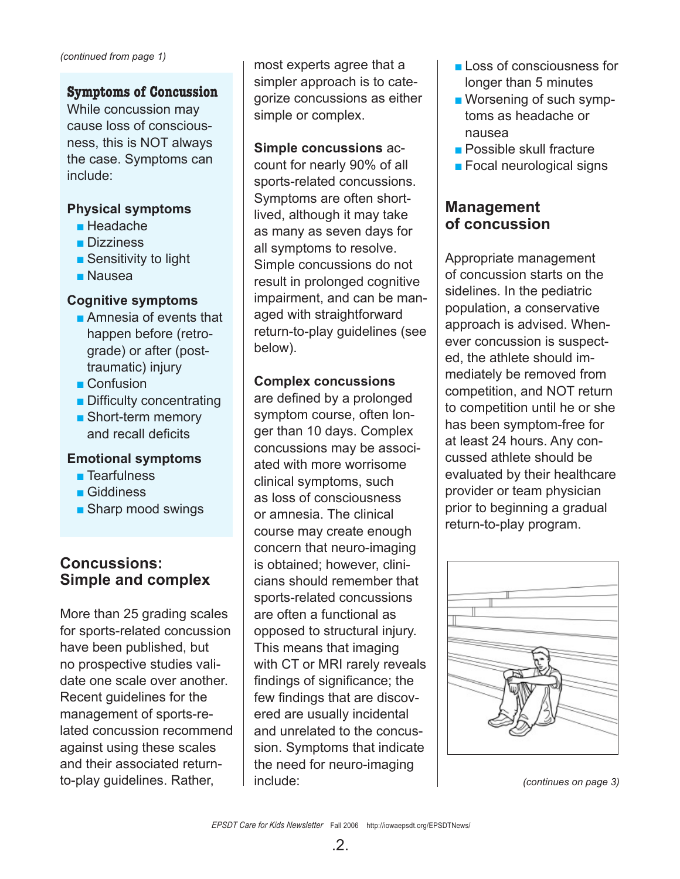### **Symptoms of Concussion**

While concussion may cause loss of consciousness, this is NOT always the case. Symptoms can include:

### **Physical symptoms**

- Headache
- Dizziness
- Sensitivity to light
- Nausea

### **Cognitive symptoms**

- Amnesia of events that happen before (retrograde) or after (posttraumatic) injury
- Confusion
- Difficulty concentrating
- Short-term memory and recall deficits

### **Emotional symptoms**

- Tearfulness
- Giddiness
- Sharp mood swings

## **Concussions: Simple and complex**

More than 25 grading scales for sports-related concussion have been published, but no prospective studies validate one scale over another. Recent guidelines for the management of sports-related concussion recommend against using these scales and their associated returnto-play guidelines. Rather,

most experts agree that a simpler approach is to categorize concussions as either simple or complex.

## **Simple concussions** ac-

count for nearly 90% of all sports-related concussions. Symptoms are often shortlived, although it may take as many as seven days for all symptoms to resolve. Simple concussions do not result in prolonged cognitive impairment, and can be managed with straightforward return-to-play guidelines (see below).

### **Complex concussions**

are defined by a prolonged symptom course, often longer than 10 days. Complex concussions may be associated with more worrisome clinical symptoms, such as loss of consciousness or amnesia. The clinical course may create enough concern that neuro-imaging is obtained; however, clinicians should remember that sports-related concussions are often a functional as opposed to structural injury. This means that imaging with CT or MRI rarely reveals findings of significance; the few findings that are discovered are usually incidental and unrelated to the concussion. Symptoms that indicate the need for neuro-imaging include:

- Loss of consciousness for longer than 5 minutes
- Worsening of such symptoms as headache or nausea
- Possible skull fracture
- Focal neurological signs

## **Management of concussion**

Appropriate management of concussion starts on the sidelines. In the pediatric population, a conservative approach is advised. Whenever concussion is suspected, the athlete should immediately be removed from competition, and NOT return to competition until he or she has been symptom-free for at least 24 hours. Any concussed athlete should be evaluated by their healthcare provider or team physician prior to beginning a gradual return-to-play program.



*(continues on page 3)*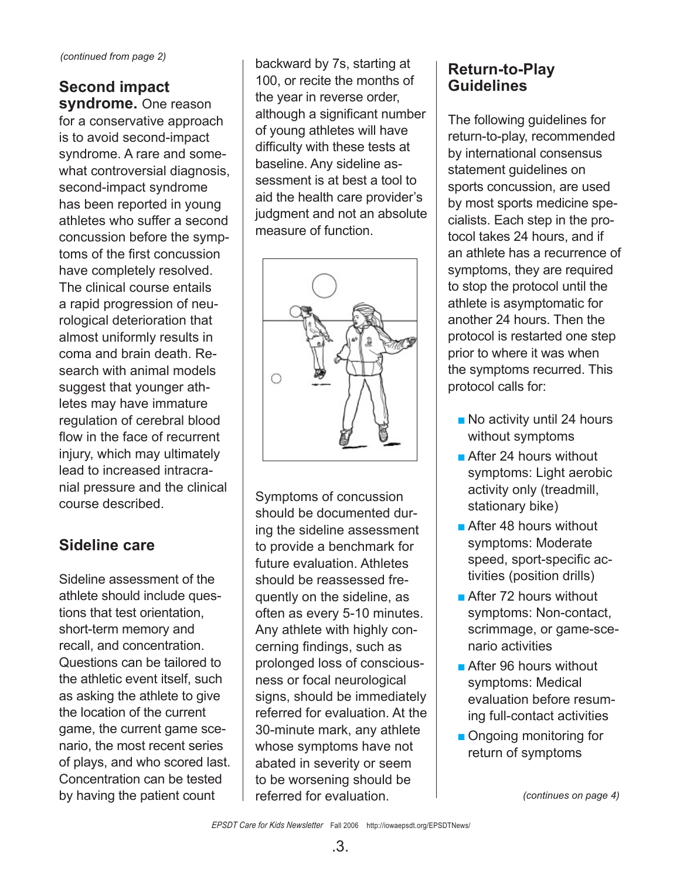## **Second impact**

**syndrome.** One reason for a conservative approach is to avoid second-impact syndrome. A rare and somewhat controversial diagnosis, second-impact syndrome has been reported in young athletes who suffer a second concussion before the symptoms of the first concussion have completely resolved. The clinical course entails a rapid progression of neurological deterioration that almost uniformly results in coma and brain death. Research with animal models suggest that younger athletes may have immature regulation of cerebral blood flow in the face of recurrent injury, which may ultimately lead to increased intracranial pressure and the clinical course described.

## **Sideline care**

Sideline assessment of the athlete should include questions that test orientation, short-term memory and recall, and concentration. Questions can be tailored to the athletic event itself, such as asking the athlete to give the location of the current game, the current game scenario, the most recent series of plays, and who scored last. Concentration can be tested by having the patient count

backward by 7s, starting at 100, or recite the months of the year in reverse order, although a significant number of young athletes will have difficulty with these tests at baseline. Any sideline assessment is at best a tool to aid the health care provider's judgment and not an absolute measure of function.



Symptoms of concussion should be documented during the sideline assessment to provide a benchmark for future evaluation. Athletes should be reassessed frequently on the sideline, as often as every 5-10 minutes. Any athlete with highly concerning findings, such as prolonged loss of consciousness or focal neurological signs, should be immediately referred for evaluation. At the 30-minute mark, any athlete whose symptoms have not abated in severity or seem to be worsening should be referred for evaluation.

## **Return-to-Play Guidelines**

The following guidelines for return-to-play, recommended by international consensus statement guidelines on sports concussion, are used by most sports medicine specialists. Each step in the protocol takes 24 hours, and if an athlete has a recurrence of symptoms, they are required to stop the protocol until the athlete is asymptomatic for another 24 hours. Then the protocol is restarted one step prior to where it was when the symptoms recurred. This protocol calls for:

- No activity until 24 hours without symptoms
- After 24 hours without symptoms: Light aerobic activity only (treadmill, stationary bike)
- After 48 hours without symptoms: Moderate speed, sport-specific activities (position drills)
- After 72 hours without symptoms: Non-contact, scrimmage, or game-scenario activities
- After 96 hours without symptoms: Medical evaluation before resuming full-contact activities
- Ongoing monitoring for return of symptoms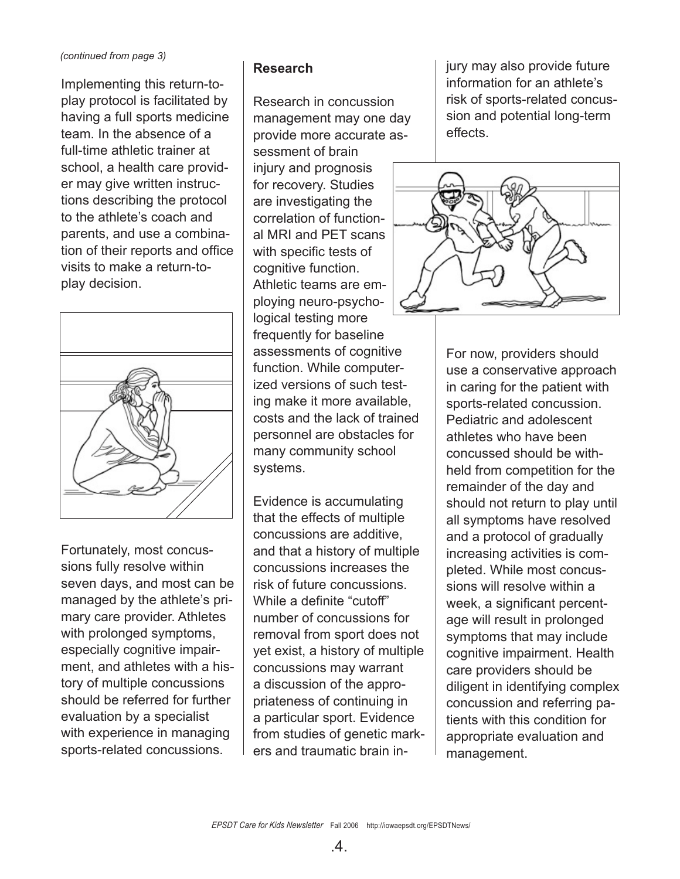#### *(continued from page 3)*

Implementing this return-toplay protocol is facilitated by having a full sports medicine team. In the absence of a full-time athletic trainer at school, a health care provider may give written instructions describing the protocol to the athlete's coach and parents, and use a combination of their reports and office visits to make a return-toplay decision.



Fortunately, most concussions fully resolve within seven days, and most can be managed by the athlete's primary care provider. Athletes with prolonged symptoms, especially cognitive impairment, and athletes with a history of multiple concussions should be referred for further evaluation by a specialist with experience in managing sports-related concussions.

## **Research**

Research in concussion management may one day provide more accurate assessment of brain injury and prognosis for recovery. Studies are investigating the correlation of functional MRI and PET scans with specific tests of cognitive function. Athletic teams are employing neuro-psychological testing more frequently for baseline assessments of cognitive function. While computerized versions of such testing make it more available, costs and the lack of trained personnel are obstacles for many community school systems.

Evidence is accumulating that the effects of multiple concussions are additive, and that a history of multiple concussions increases the risk of future concussions. While a definite "cutoff" number of concussions for removal from sport does not yet exist, a history of multiple concussions may warrant a discussion of the appropriateness of continuing in a particular sport. Evidence from studies of genetic markers and traumatic brain injury may also provide future information for an athlete's risk of sports-related concussion and potential long-term effects.



For now, providers should use a conservative approach in caring for the patient with sports-related concussion. Pediatric and adolescent athletes who have been concussed should be withheld from competition for the remainder of the day and should not return to play until all symptoms have resolved and a protocol of gradually increasing activities is completed. While most concussions will resolve within a week, a significant percentage will result in prolonged symptoms that may include cognitive impairment. Health care providers should be diligent in identifying complex concussion and referring patients with this condition for appropriate evaluation and management.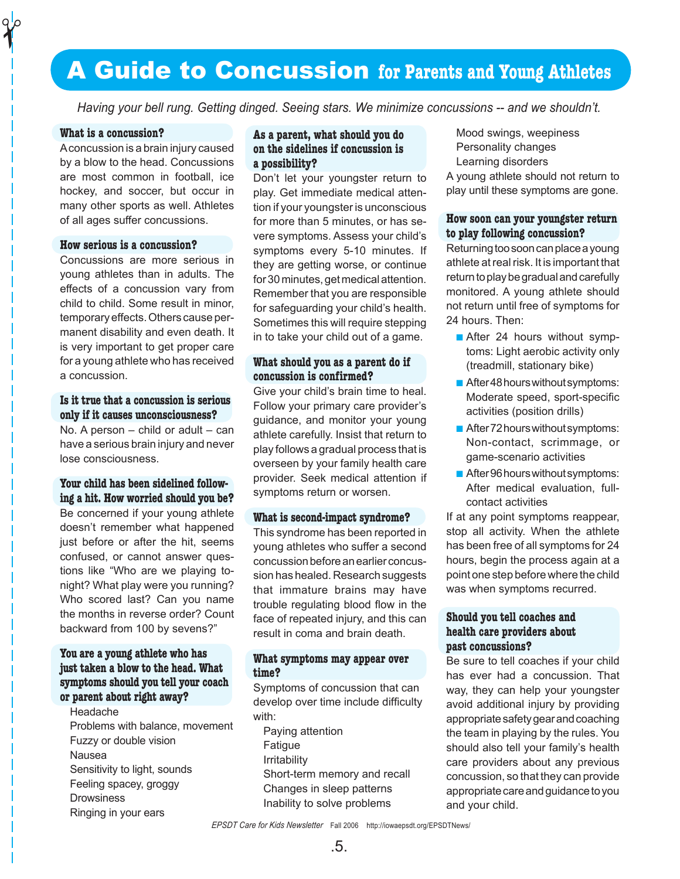## A Guide to Concussion **for Parents and Young Athletes**

*Having your bell rung. Getting dinged. Seeing stars. We minimize concussions -- and we shouldn't.*

#### **What is a concussion?**

 $\gamma$ 

A concussion is a brain injury caused by a blow to the head. Concussions are most common in football, ice hockey, and soccer, but occur in many other sports as well. Athletes of all ages suffer concussions.

#### **How serious is a concussion?**

Concussions are more serious in young athletes than in adults. The effects of a concussion vary from child to child. Some result in minor, temporary effects. Others cause permanent disability and even death. It is very important to get proper care for a young athlete who has received a concussion.

#### **Is it true that a concussion is serious only if it causes unconsciousness?**

No. A person – child or adult – can have a serious brain injury and never lose consciousness.

#### **Your child has been sidelined following a hit. How worried should you be?** Be concerned if your young athlete doesn't remember what happened just before or after the hit, seems

confused, or cannot answer questions like "Who are we playing tonight? What play were you running? Who scored last? Can you name the months in reverse order? Count backward from 100 by sevens?"

#### **You are a young athlete who has just taken a blow to the head. What symptoms should you tell your coach or parent about right away?**

Headache Problems with balance, movement Fuzzy or double vision Nausea Sensitivity to light, sounds Feeling spacey, groggy **Drowsiness** Ringing in your ears

#### **As a parent, what should you do on the sidelines if concussion is a possibility?**

Don't let your youngster return to play. Get immediate medical attention if your youngster is unconscious for more than 5 minutes, or has severe symptoms. Assess your child's symptoms every 5-10 minutes. If they are getting worse, or continue for 30 minutes, get medical attention. Remember that you are responsible for safeguarding your child's health. Sometimes this will require stepping in to take your child out of a game.

#### **What should you as a parent do if concussion is confirmed?**

Give your child's brain time to heal. Follow your primary care provider's guidance, and monitor your young athlete carefully. Insist that return to play follows a gradual process that is overseen by your family health care provider. Seek medical attention if symptoms return or worsen.

#### **What is second-impact syndrome?**

This syndrome has been reported in young athletes who suffer a second concussion before an earlier concussion has healed. Research suggests that immature brains may have trouble regulating blood flow in the face of repeated injury, and this can result in coma and brain death.

#### **What symptoms may appear over time?**

Symptoms of concussion that can develop over time include difficulty with:

Paying attention Fatigue Irritability Short-term memory and recall Changes in sleep patterns Inability to solve problems

Mood swings, weepiness Personality changes Learning disorders

A young athlete should not return to play until these symptoms are gone.

#### **How soon can your youngster return to play following concussion?**

Returning too soon can place a young athlete at real risk. It is important that return to play be gradual and carefully monitored. A young athlete should not return until free of symptoms for 24 hours. Then:

- After 24 hours without symptoms: Light aerobic activity only (treadmill, stationary bike)
- After 48 hours without symptoms: Moderate speed, sport-specific activities (position drills)
- After 72 hours without symptoms: Non-contact, scrimmage, or game-scenario activities
- After 96 hours without symptoms: After medical evaluation, fullcontact activities

If at any point symptoms reappear, stop all activity. When the athlete has been free of all symptoms for 24 hours, begin the process again at a point one step before where the child was when symptoms recurred.

#### **Should you tell coaches and health care providers about past concussions?**

Be sure to tell coaches if your child has ever had a concussion. That way, they can help your youngster avoid additional injury by providing appropriate safety gear and coaching the team in playing by the rules. You should also tell your family's health care providers about any previous concussion, so that they can provide appropriate care and guidance to you and your child.

#### *EPSDT Care for Kids Newsletter* Fall 2006 http://iowaepsdt.org/EPSDTNews/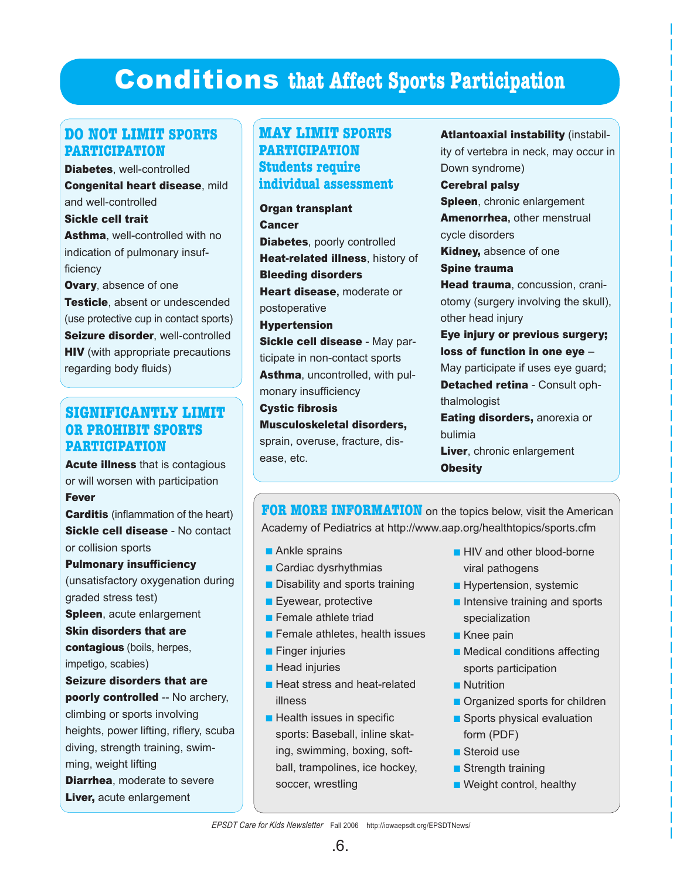## Conditions **that Affect Sports Participation**

## **DO NOT LIMIT SPORTS PARTICIPATION**

Diabetes, well-controlled Congenital heart disease, mild and well-controlled

Sickle cell trait Asthma, well-controlled with no indication of pulmonary insufficiency

Ovary, absence of one Testicle, absent or undescended (use protective cup in contact sports) Seizure disorder, well-controlled **HIV** (with appropriate precautions regarding body fluids)

### **SIGNIFICANTLY LIMIT OR PROHIBIT SPORTS PARTICIPATION**

Acute illness that is contagious or will worsen with participation Fever

**Carditis** (inflammation of the heart) Sickle cell disease - No contact or collision sports

Pulmonary insufficiency (unsatisfactory oxygenation during graded stress test) Spleen, acute enlargement Skin disorders that are contagious (boils, herpes, impetigo, scabies) Seizure disorders that are poorly controlled -- No archery, climbing or sports involving heights, power lifting, riflery, scuba diving, strength training, swimming, weight lifting **Diarrhea**, moderate to severe Liver, acute enlargement

## **MAY LIMIT SPORTS PARTICIPATION Students require individual assessment**

Organ transplant **Cancer** Diabetes, poorly controlled Heat-related illness, history of Bleeding disorders Heart disease**,** moderate or postoperative Hypertension Sickle cell disease - May participate in non-contact sports Asthma, uncontrolled, with pulmonary insufficiency Cystic fibrosis Musculoskeletal disorders, sprain, overuse, fracture, disease, etc.

Atlantoaxial instability (instability of vertebra in neck, may occur in Down syndrome) Cerebral palsy Spleen, chronic enlargement Amenorrhea**,** other menstrual cycle disorders Kidney, absence of one Spine trauma Head trauma, concussion, craniotomy (surgery involving the skull), other head injury Eye injury or previous surgery; loss of function in one eye – May participate if uses eye guard; Detached retina - Consult ophthalmologist **Eating disorders, anorexia or** bulimia Liver, chronic enlargement **Obesity** 

**FOR MORE INFORMATION** on the topics below, visit the American Academy of Pediatrics at http://www.aap.org/healthtopics/sports.cfm

- Ankle sprains
- Cardiac dysrhythmias
- Disability and sports training
- Eyewear, protective
- Female athlete triad
- Female athletes, health issues
- Finger injuries
- Head injuries
- Heat stress and heat-related illness
- Health issues in specific sports: Baseball, inline skating, swimming, boxing, softball, trampolines, ice hockey, soccer, wrestling
- HIV and other blood-borne viral pathogens
- Hypertension, systemic
- Intensive training and sports specialization
- Knee pain
- Medical conditions affecting sports participation
- Nutrition
- Organized sports for children
- Sports physical evaluation form (PDF)
- Steroid use
- Strength training
- Weight control, healthy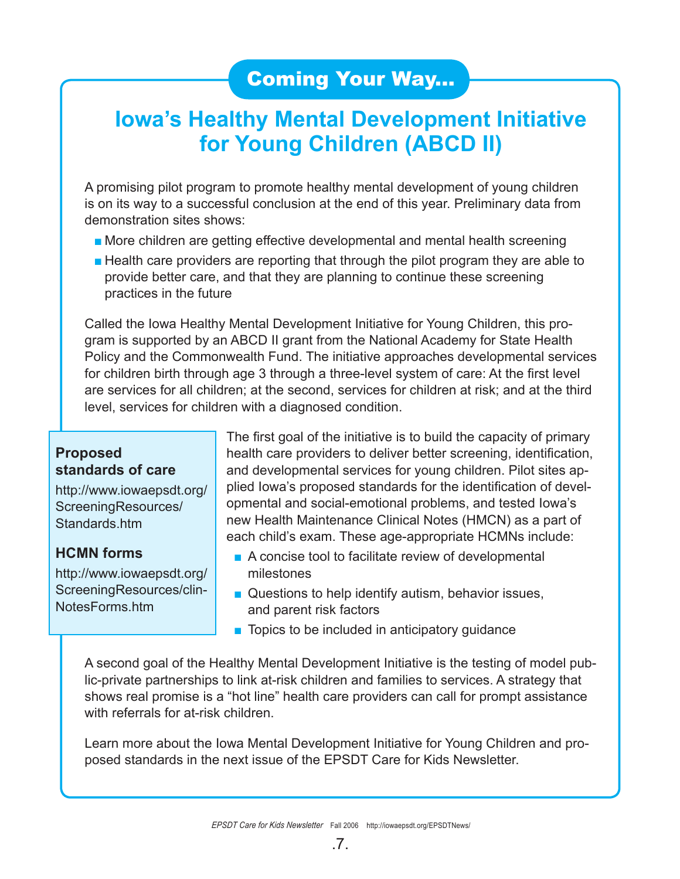## Coming Your Way...

## **Iowa's Healthy Mental Development Initiative for Young Children (ABCD II)**

A promising pilot program to promote healthy mental development of young children is on its way to a successful conclusion at the end of this year. Preliminary data from demonstration sites shows:

- More children are getting effective developmental and mental health screening
- Health care providers are reporting that through the pilot program they are able to provide better care, and that they are planning to continue these screening practices in the future

Called the Iowa Healthy Mental Development Initiative for Young Children, this program is supported by an ABCD II grant from the National Academy for State Health Policy and the Commonwealth Fund. The initiative approaches developmental services for children birth through age 3 through a three-level system of care: At the first level are services for all children; at the second, services for children at risk; and at the third level, services for children with a diagnosed condition.

## **Proposed standards of care**

http://www.iowaepsdt.org/ ScreeningResources/ Standards.htm

## **HCMN forms**

http://www.iowaepsdt.org/ ScreeningResources/clin-NotesForms.htm

The first goal of the initiative is to build the capacity of primary health care providers to deliver better screening, identification, and developmental services for young children. Pilot sites applied Iowa's proposed standards for the identification of developmental and social-emotional problems, and tested Iowa's new Health Maintenance Clinical Notes (HMCN) as a part of each child's exam. These age-appropriate HCMNs include:

- A concise tool to facilitate review of developmental milestones
- Questions to help identify autism, behavior issues, and parent risk factors
- Topics to be included in anticipatory quidance

A second goal of the Healthy Mental Development Initiative is the testing of model public-private partnerships to link at-risk children and families to services. A strategy that shows real promise is a "hot line" health care providers can call for prompt assistance with referrals for at-risk children.

Learn more about the Iowa Mental Development Initiative for Young Children and proposed standards in the next issue of the EPSDT Care for Kids Newsletter.